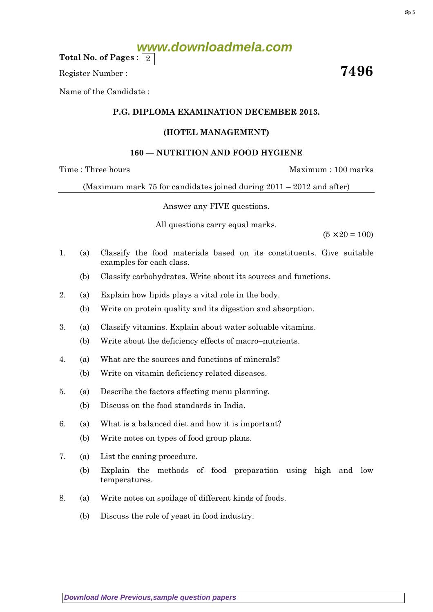**www.downloadmela.com**

Total No. of Pages :  $\mid 2 \rangle$ 

Register Number : The Secretary of the Secretary of the Secretary of the Secretary of the Secretary of the Secretary of the Secretary of the Secretary of the Secretary of the Secretary of the Secretary of the Secretary of

Name of the Candidate :

## P.G. DIPLOMA EXAMINATION DECEMBER 2013.

## (HOTEL MANAGEMENT)

## 160 — NUTRITION AND FOOD HYGIENE

Time : Three hours and the matter of the Maximum : 100 marks

(Maximum mark 75 for candidates joined during 2011 – 2012 and after)

Answer any FIVE questions.

All questions carry equal marks.

 $(5 \times 20 = 100)$ 

- 1. (a) Classify the food materials based on its constituents. Give suitable examples for each class.
	- (b) Classify carbohydrates. Write about its sources and functions.
- 2. (a) Explain how lipids plays a vital role in the body.
	- (b) Write on protein quality and its digestion and absorption.
- 3. (a) Classify vitamins. Explain about water soluable vitamins.
	- (b) Write about the deficiency effects of macro–nutrients.
- 4. (a) What are the sources and functions of minerals?
	- (b) Write on vitamin deficiency related diseases.
- 5. (a) Describe the factors affecting menu planning.
	- (b) Discuss on the food standards in India.
- 6. (a) What is a balanced diet and how it is important?
	- (b) Write notes on types of food group plans.
- 7. (a) List the caning procedure.
	- (b) Explain the methods of food preparation using high and low temperatures.
- 8. (a) Write notes on spoilage of different kinds of foods.
	- (b) Discuss the role of yeast in food industry.